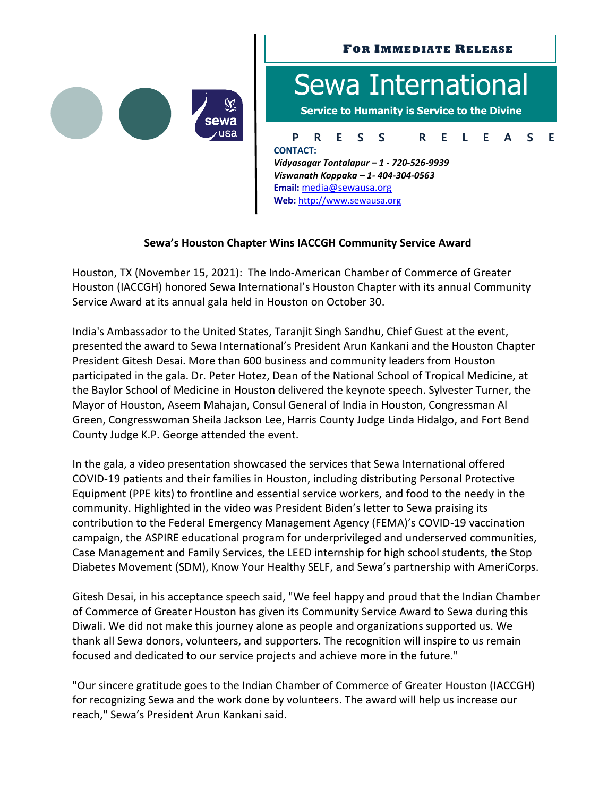

## **P R E S S R E L E A S E FOR IMMEDIATE RELEASE** Sewa International **Service to Humanity is Service to the Divine CONTACT:**

*Vidyasagar Tontalapur – 1 - 720-526-9939 Viswanath Koppaka – 1- 404-304-0563* **Email:** [media@sewausa.org](mailto:dr@sewausa.org) **Web:** [http://www.sewausa.org](http://www.sewausa.org/)

## **Sewa's Houston Chapter Wins IACCGH Community Service Award**

Houston, TX (November 15, 2021): The Indo-American Chamber of Commerce of Greater Houston (IACCGH) honored Sewa International's Houston Chapter with its annual Community Service Award at its annual gala held in Houston on October 30.

India's Ambassador to the United States, Taranjit Singh Sandhu, Chief Guest at the event, presented the award to Sewa International's President Arun Kankani and the Houston Chapter President Gitesh Desai. More than 600 business and community leaders from Houston participated in the gala. Dr. Peter Hotez, Dean of the National School of Tropical Medicine, at the Baylor School of Medicine in Houston delivered the keynote speech. Sylvester Turner, the Mayor of Houston, Aseem Mahajan, Consul General of India in Houston, Congressman Al Green, Congresswoman Sheila Jackson Lee, Harris County Judge Linda Hidalgo, and Fort Bend County Judge K.P. George attended the event.

In the gala, a video presentation showcased the services that Sewa International offered COVID-19 patients and their families in Houston, including distributing Personal Protective Equipment (PPE kits) to frontline and essential service workers, and food to the needy in the community. Highlighted in the video was President Biden's letter to Sewa praising its contribution to the Federal Emergency Management Agency (FEMA)'s COVID-19 vaccination campaign, the ASPIRE educational program for underprivileged and underserved communities, Case Management and Family Services, the LEED internship for high school students, the Stop Diabetes Movement (SDM), Know Your Healthy SELF, and Sewa's partnership with AmeriCorps.

Gitesh Desai, in his acceptance speech said, "We feel happy and proud that the Indian Chamber of Commerce of Greater Houston has given its Community Service Award to Sewa during this Diwali. We did not make this journey alone as people and organizations supported us. We thank all Sewa donors, volunteers, and supporters. The recognition will inspire to us remain focused and dedicated to our service projects and achieve more in the future."

"Our sincere gratitude goes to the Indian Chamber of Commerce of Greater Houston (IACCGH) for recognizing Sewa and the work done by volunteers. The award will help us increase our reach," Sewa's President Arun Kankani said.